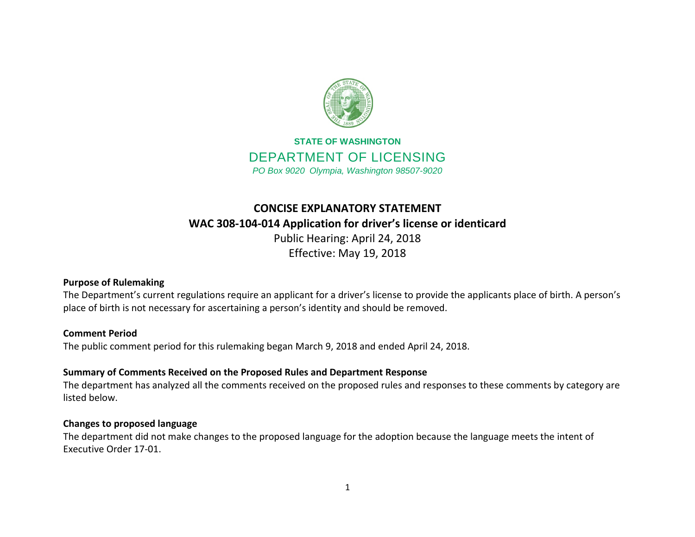

# **STATE OF WASHINGTON** DEPARTMENT OF LICENSING *PO Box 9020 Olympia, Washington 98507-9020*

# **CONCISE EXPLANATORY STATEMENT WAC 308-104-014 Application for driver's license or identicard** Public Hearing: April 24, 2018

Effective: May 19, 2018

## **Purpose of Rulemaking**

The Department's current regulations require an applicant for a driver's license to provide the applicants place of birth. A person's place of birth is not necessary for ascertaining a person's identity and should be removed.

#### **Comment Period**

The public comment period for this rulemaking began March 9, 2018 and ended April 24, 2018.

## **Summary of Comments Received on the Proposed Rules and Department Response**

The department has analyzed all the comments received on the proposed rules and responses to these comments by category are listed below.

#### **Changes to proposed language**

The department did not make changes to the proposed language for the adoption because the language meets the intent of Executive Order 17-01.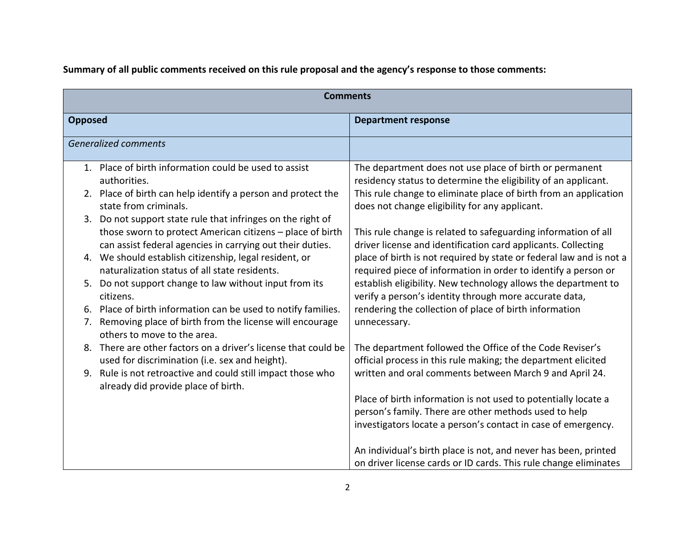**Summary of all public comments received on this rule proposal and the agency's response to those comments:**

| <b>Comments</b>                                                                                                                                                                                                |                                                                                                                                                                                                         |
|----------------------------------------------------------------------------------------------------------------------------------------------------------------------------------------------------------------|---------------------------------------------------------------------------------------------------------------------------------------------------------------------------------------------------------|
| <b>Opposed</b>                                                                                                                                                                                                 | <b>Department response</b>                                                                                                                                                                              |
| <b>Generalized comments</b>                                                                                                                                                                                    |                                                                                                                                                                                                         |
| 1. Place of birth information could be used to assist<br>authorities.<br>2. Place of birth can help identify a person and protect the                                                                          | The department does not use place of birth or permanent<br>residency status to determine the eligibility of an applicant.<br>This rule change to eliminate place of birth from an application           |
| state from criminals.<br>3. Do not support state rule that infringes on the right of<br>those sworn to protect American citizens - place of birth<br>can assist federal agencies in carrying out their duties. | does not change eligibility for any applicant.<br>This rule change is related to safeguarding information of all<br>driver license and identification card applicants. Collecting                       |
| 4. We should establish citizenship, legal resident, or<br>naturalization status of all state residents.<br>Do not support change to law without input from its                                                 | place of birth is not required by state or federal law and is not a<br>required piece of information in order to identify a person or<br>establish eligibility. New technology allows the department to |
| citizens.<br>6. Place of birth information can be used to notify families.                                                                                                                                     | verify a person's identity through more accurate data,<br>rendering the collection of place of birth information                                                                                        |
| Removing place of birth from the license will encourage<br>7.<br>others to move to the area.<br>8. There are other factors on a driver's license that could be                                                 | unnecessary.<br>The department followed the Office of the Code Reviser's                                                                                                                                |
| used for discrimination (i.e. sex and height).<br>9. Rule is not retroactive and could still impact those who                                                                                                  | official process in this rule making; the department elicited<br>written and oral comments between March 9 and April 24.                                                                                |
| already did provide place of birth.                                                                                                                                                                            | Place of birth information is not used to potentially locate a<br>person's family. There are other methods used to help<br>investigators locate a person's contact in case of emergency.                |
|                                                                                                                                                                                                                | An individual's birth place is not, and never has been, printed<br>on driver license cards or ID cards. This rule change eliminates                                                                     |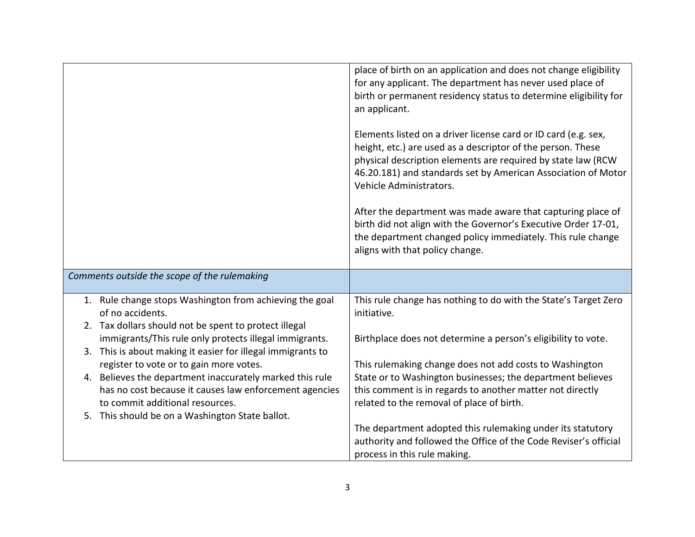|                                                                                                                                                                                                                                                                                                                                                                                                                                                                                                                      | place of birth on an application and does not change eligibility<br>for any applicant. The department has never used place of<br>birth or permanent residency status to determine eligibility for<br>an applicant.<br>Elements listed on a driver license card or ID card (e.g. sex,<br>height, etc.) are used as a descriptor of the person. These<br>physical description elements are required by state law (RCW<br>46.20.181) and standards set by American Association of Motor<br>Vehicle Administrators.<br>After the department was made aware that capturing place of<br>birth did not align with the Governor's Executive Order 17-01,<br>the department changed policy immediately. This rule change<br>aligns with that policy change. |
|----------------------------------------------------------------------------------------------------------------------------------------------------------------------------------------------------------------------------------------------------------------------------------------------------------------------------------------------------------------------------------------------------------------------------------------------------------------------------------------------------------------------|----------------------------------------------------------------------------------------------------------------------------------------------------------------------------------------------------------------------------------------------------------------------------------------------------------------------------------------------------------------------------------------------------------------------------------------------------------------------------------------------------------------------------------------------------------------------------------------------------------------------------------------------------------------------------------------------------------------------------------------------------|
| Comments outside the scope of the rulemaking                                                                                                                                                                                                                                                                                                                                                                                                                                                                         |                                                                                                                                                                                                                                                                                                                                                                                                                                                                                                                                                                                                                                                                                                                                                    |
| 1. Rule change stops Washington from achieving the goal<br>of no accidents.<br>2. Tax dollars should not be spent to protect illegal<br>immigrants/This rule only protects illegal immigrants.<br>3. This is about making it easier for illegal immigrants to<br>register to vote or to gain more votes.<br>4. Believes the department inaccurately marked this rule<br>has no cost because it causes law enforcement agencies<br>to commit additional resources.<br>5. This should be on a Washington State ballot. | This rule change has nothing to do with the State's Target Zero<br>initiative.<br>Birthplace does not determine a person's eligibility to vote.<br>This rulemaking change does not add costs to Washington<br>State or to Washington businesses; the department believes<br>this comment is in regards to another matter not directly<br>related to the removal of place of birth.<br>The department adopted this rulemaking under its statutory<br>authority and followed the Office of the Code Reviser's official<br>process in this rule making.                                                                                                                                                                                               |